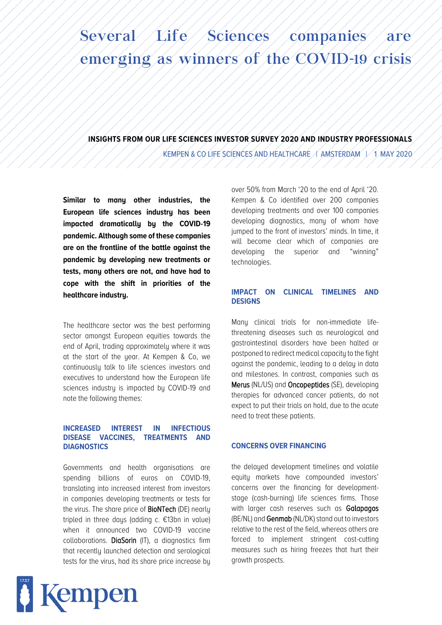# Several / Life / Sciences / companies / are emerging as winners of the COVID-19 crisis

**INSIGHTS FROM OUR LIFE SCIENCES INVESTOR SURVEY 2020 AND INDUSTRY PROFESSIONALS**

KEMPEN & CO LIFE SCIENCES AND HEALTHCARE  $\#$  amsterdam  $+$  1 may 2020  $-$ 

**Similar to many other industries, the European life sciences industry has been impacted dramatically by the COVID-19 pandemic. Although some of these companies are on the frontline of the battle against the pandemic by developing new treatments or tests, many others are not, and have had to cope with the shift in priorities of the healthcare industry.**

The healthcare sector was the best performing sector amongst European equities towards the end of April, trading approximately where it was at the start of the year. At Kempen & Co, we continuously talk to life sciences investors and executives to understand how the European life sciences industry is impacted by COVID-19 and note the following themes:

# **INCREASED INTEREST IN INFECTIOUS DISEASE VACCINES, TREATMENTS AND DIAGNOSTICS**

Governments and health organisations are spending billions of euros on COVID-19, translating into increased interest from investors in companies developing treatments or tests for the virus. The share price of **BioNTech** (DE) nearly tripled in three days (adding c. €13bn in value) when it announced two COVID-19 vaccine collaborations. DiaSorin (IT), a diagnostics firm that recently launched detection and serological tests for the virus, had its share price increase by

the delayed development timelines and volatile equity markets have compounded investors' concerns over the financing for developmentstage (cash-burning) life sciences firms. Those with larger cash reserves such as Galapagos (BE/NL) and Genmab (NL/DK) stand out to investors relative to the rest of the field, whereas others are forced to implement stringent cost-cutting measures such as hiring freezes that hurt their growth prospects.



over 50% from March '20 to the end of April '20. Kempen & Co identified over 200 companies developing treatments and over 100 companies developing diagnostics, many of whom have jumped to the front of investors' minds. In time, it will become clear which of companies are developing the superior and "winning" technologies.

# **IMPACT ON CLINICAL TIMELINES AND DESIGNS**

Many clinical trials for non-immediate lifethreatening diseases such as neurological and gastrointestinal disorders have been halted or postponed to redirect medical capacity to the fight against the pandemic, leading to a delay in data and milestones. In contrast, companies such as Merus (NL/US) and Oncopeptides (SE), developing therapies for advanced cancer patients, do not expect to put their trials on hold, due to the acute need to treat these patients.

# **CONCERNS OVER FINANCING**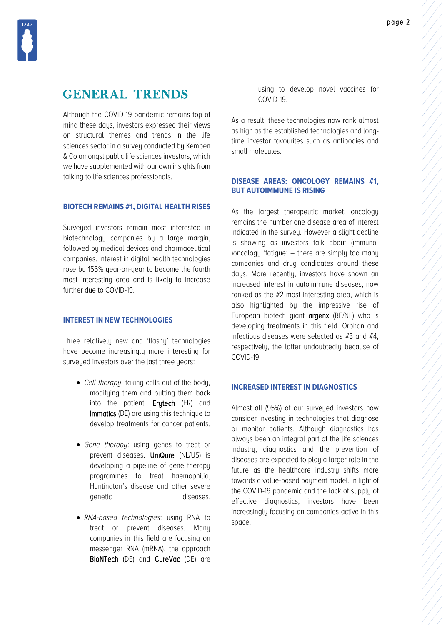

# GENERAL TRENDS

Although the COVID-19 pandemic remains top of mind these days, investors expressed their views on structural themes and trends in the life sciences sector in a survey conducted by Kempen & Co amongst public life sciences investors, which we have supplemented with our own insights from talking to life sciences professionals.

#### **BIOTECH REMAINS #1, DIGITAL HEALTH RISES**

Surveyed investors remain most interested in biotechnology companies by a large margin, followed by medical devices and pharmaceutical companies. Interest in digital health technologies rose by 155% year-on-year to become the fourth most interesting area and is likely to increase further due to COVID-19.

# **INTEREST IN NEW TECHNOLOGIES**

Three relatively new and 'flashy' technologies have become increasingly more interesting for surveyed investors over the last three years:

- *Cell therapy*: taking cells out of the body, modifying them and putting them back into the patient. Erytech (FR) and Immatics (DE) are using this technique to develop treatments for cancer patients.
- *Gene therapy*: using genes to treat or prevent diseases. UniQure (NL/US) is developing a pipeline of gene therapy programmes to treat haemophilia, Huntington's disease and other severe genetic diseases.
- *RNA-based technologies*: using RNA to treat or prevent diseases. Many companies in this field are focusing on messenger RNA (mRNA), the approach BioNTech (DE) and CureVac (DE) are

using to develop novel vaccines for COVID-19.

As a result, these technologies now rank almost as high as the established technologies and longtime investor favourites such as antibodies and small molecules.

#### **DISEASE AREAS: ONCOLOGY REMAINS #1, BUT AUTOIMMUNE IS RISING**

As the largest therapeutic market, oncology remains the number one disease area of interest indicated in the survey. However a slight decline is showing as investors talk about (immuno- )oncology 'fatigue' – there are simply too many companies and drug candidates around these days. More recently, investors have shown an increased interest in autoimmune diseases, now ranked as the #2 most interesting area, which is also highlighted by the impressive rise of European biotech giant argenx (BE/NL) who is developing treatments in this field. Orphan and infectious diseases were selected as #3 and #4, respectively, the latter undoubtedly because of COVID-19.

### **INCREASED INTEREST IN DIAGNOSTICS**

Almost all (95%) of our surveyed investors now consider investing in technologies that diagnose or monitor patients. Although diagnostics has always been an integral part of the life sciences industry, diagnostics and the prevention of diseases are expected to play a larger role in the future as the healthcare industry shifts more towards a value-based payment model. In light of the COVID-19 pandemic and the lack of supply of effective diagnostics, investors have been increasingly focusing on companies active in this space.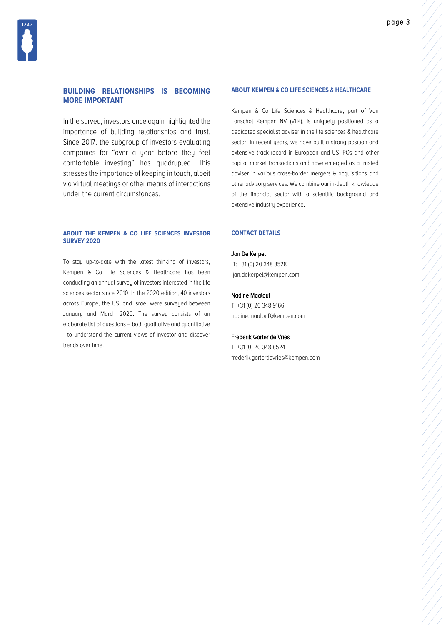### **BUILDING RELATIONSHIPS IS BECOMING MORE IMPORTANT**

In the survey, investors once again highlighted the importance of building relationships and trust. Since 2017, the subgroup of investors evaluating companies for "over a year before they feel comfortable investing" has quadrupled. This stresses the importance of keeping in touch, albeit via virtual meetings or other means of interactions under the current circumstances.

#### **ABOUT THE KEMPEN & CO LIFE SCIENCES INVESTOR SURVEY 2020**

To stay up-to-date with the latest thinking of investors, Kempen & Co Life Sciences & Healthcare has been conducting an annual survey of investors interested in the life sciences sector since 2010. In the 2020 edition, 40 investors across Europe, the US, and Israel were surveyed between January and March 2020. The survey consists of an elaborate list of questions – both qualitative and quantitative - to understand the current views of investor and discover trends over time.

#### **ABOUT KEMPEN & CO LIFE SCIENCES & HEALTHCARE**

Kempen & Co Life Sciences & Healthcare, part of Van Lanschot Kempen NV (VLK), is uniquely positioned as a dedicated specialist adviser in the life sciences & healthcare sector. In recent years, we have built a strong position and extensive track-record in European and US IPOs and other capital market transactions and have emerged as a trusted adviser in various cross-border mergers & acquisitions and other advisory services. We combine our in-depth knowledge of the financial sector with a scientific background and extensive industry experience.

#### **CONTACT DETAILS**

#### Jan De Kerpel

T: +31 (0) 20 348 8528 jan.dekerpel@kempen.com

#### Nadine Maalouf

T: +31 (0) 20 348 9166 nadine.maalouf@kempen.com

#### Frederik Gorter de Vries

T: +31 (0) 20 348 8524 frederik.gorterdevries@kempen.com